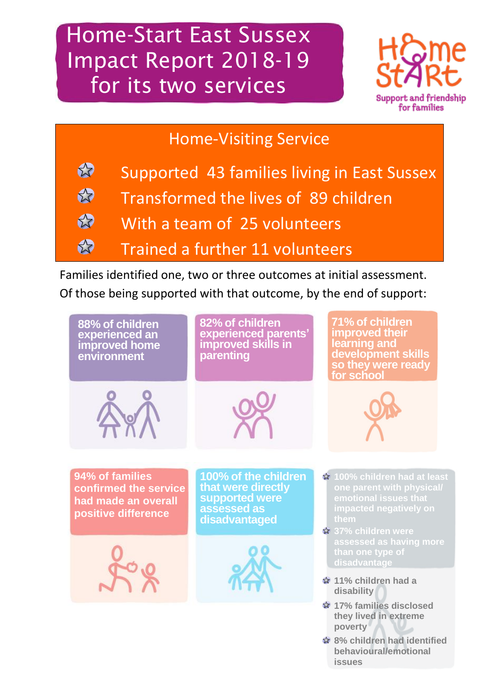Home-Start East Sussex Impact Report 2018-19 for its two services



### Home-Visiting Service



Families identified one, two or three outcomes at initial assessment. Of those being supported with that outcome, by the end of support:



**issues**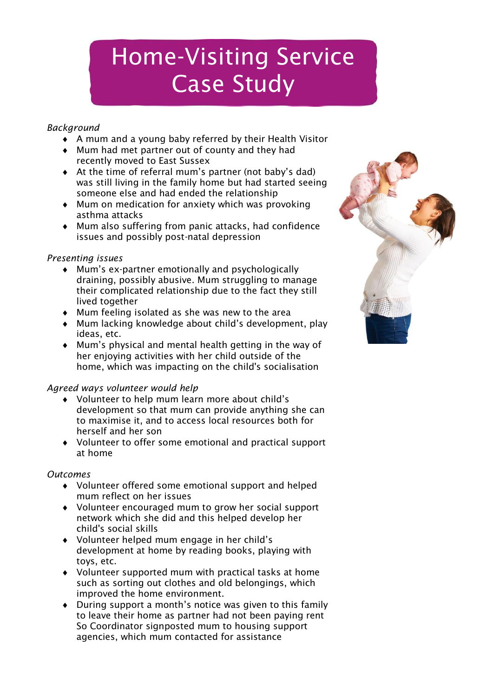# Home-Visiting Service Case Study

#### *Background*

- A mum and a young baby referred by their Health Visitor
- Mum had met partner out of county and they had recently moved to East Sussex
- At the time of referral mum's partner (not baby's dad) was still living in the family home but had started seeing someone else and had ended the relationship
- $\bullet$  Mum on medication for anxiety which was provoking asthma attacks
- Mum also suffering from panic attacks, had confidence issues and possibly post-natal depression

#### *Presenting issues*

- Mum's ex-partner emotionally and psychologically draining, possibly abusive. Mum struggling to manage their complicated relationship due to the fact they still lived together
- Mum feeling isolated as she was new to the area
- Mum lacking knowledge about child's development, play ideas, etc.
- Mum's physical and mental health getting in the way of her enjoying activities with her child outside of the home, which was impacting on the child's socialisation

### *Agreed ways volunteer would help*

- Volunteer to help mum learn more about child's development so that mum can provide anything she can to maximise it, and to access local resources both for herself and her son
- Volunteer to offer some emotional and practical support at home

#### *Outcomes*

- Volunteer offered some emotional support and helped mum reflect on her issues
- Volunteer encouraged mum to grow her social support network which she did and this helped develop her child's social skills
- Volunteer helped mum engage in her child's development at home by reading books, playing with toys, etc.
- Volunteer supported mum with practical tasks at home such as sorting out clothes and old belongings, which improved the home environment.
- During support a month's notice was given to this family to leave their home as partner had not been paying rent So Coordinator signposted mum to housing support agencies, which mum contacted for assistance

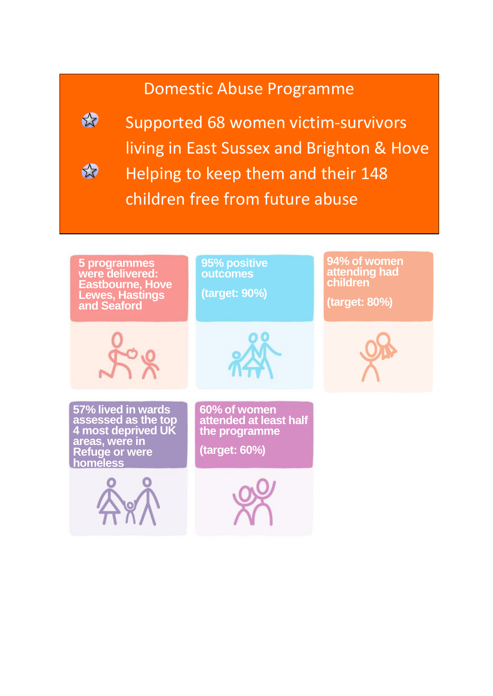### Domestic Abuse Programme



☆

Supported 68 women victim-survivors living in East Sussex and Brighton & Hove Helping to keep them and their 148

children free from future abuse

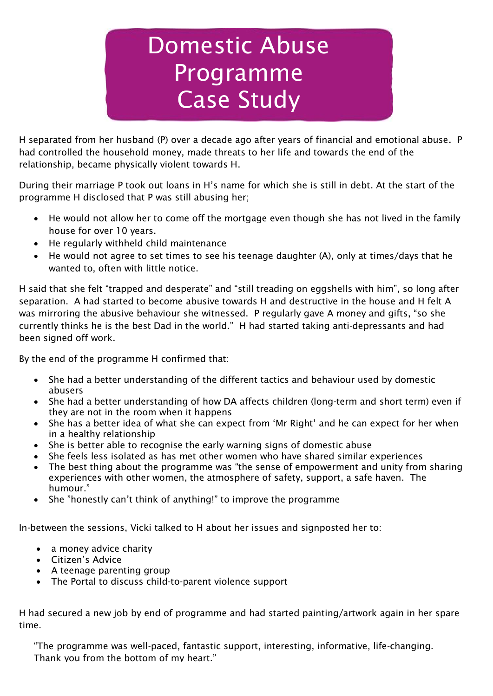# Domestic Abuse Programme Case Study

H separated from her husband (P) over a decade ago after years of financial and emotional abuse. P had controlled the household money, made threats to her life and towards the end of the relationship, became physically violent towards H.

During their marriage P took out loans in H's name for which she is still in debt. At the start of the programme H disclosed that P was still abusing her;

- He would not allow her to come off the mortgage even though she has not lived in the family house for over 10 years.
- He regularly withheld child maintenance
- He would not agree to set times to see his teenage daughter (A), only at times/days that he wanted to, often with little notice.

H said that she felt "trapped and desperate" and "still treading on eggshells with him", so long after separation. A had started to become abusive towards H and destructive in the house and H felt A was mirroring the abusive behaviour she witnessed. P regularly gave A money and gifts, "so she currently thinks he is the best Dad in the world." H had started taking anti-depressants and had been signed off work.

By the end of the programme H confirmed that:

- She had a better understanding of the different tactics and behaviour used by domestic abusers
- She had a better understanding of how DA affects children (long-term and short term) even if they are not in the room when it happens
- She has a better idea of what she can expect from 'Mr Right' and he can expect for her when in a healthy relationship
- She is better able to recognise the early warning signs of domestic abuse
- She feels less isolated as has met other women who have shared similar experiences
- The best thing about the programme was "the sense of empowerment and unity from sharing experiences with other women, the atmosphere of safety, support, a safe haven. The humour."
- She "honestly can't think of anything!" to improve the programme

In-between the sessions, Vicki talked to H about her issues and signposted her to:

- a money advice charity
- Citizen's Advice
- A teenage parenting group
- The Portal to discuss child-to-parent violence support

H had secured a new job by end of programme and had started painting/artwork again in her spare time.

"The programme was well-paced, fantastic support, interesting, informative, life-changing. Thank you from the bottom of my heart."